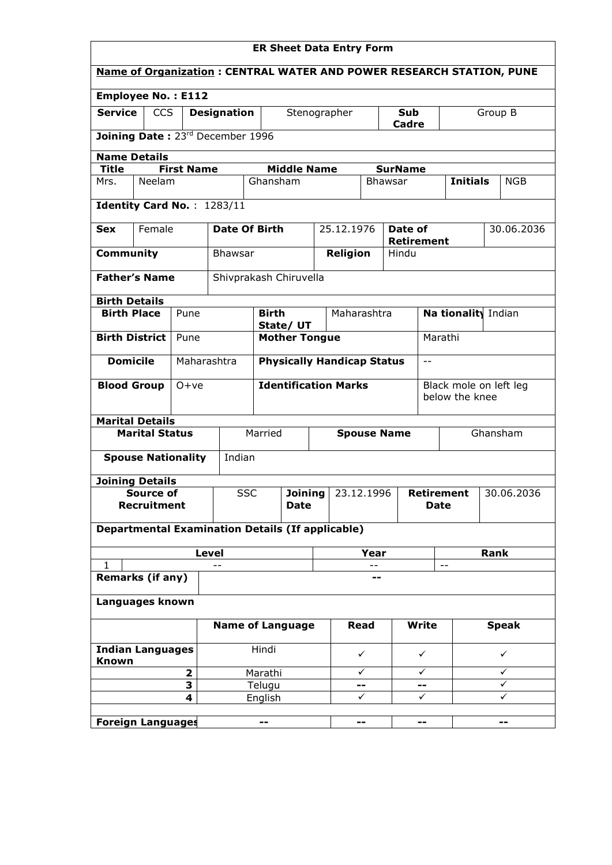| <b>ER Sheet Data Entry Form</b>                                       |                                                                           |             |                      |                                                         |              |                                 |                |                   |                        |  |                          |
|-----------------------------------------------------------------------|---------------------------------------------------------------------------|-------------|----------------------|---------------------------------------------------------|--------------|---------------------------------|----------------|-------------------|------------------------|--|--------------------------|
| Name of Organization : CENTRAL WATER AND POWER RESEARCH STATION, PUNE |                                                                           |             |                      |                                                         |              |                                 |                |                   |                        |  |                          |
| <b>Employee No.: E112</b>                                             |                                                                           |             |                      |                                                         |              |                                 |                |                   |                        |  |                          |
| <b>Service</b><br><b>CCS</b><br><b>Designation</b>                    |                                                                           |             |                      |                                                         | Stenographer | <b>Sub</b><br>Cadre             |                | Group B           |                        |  |                          |
| Joining Date: 23rd December 1996                                      |                                                                           |             |                      |                                                         |              |                                 |                |                   |                        |  |                          |
| <b>Name Details</b>                                                   |                                                                           |             |                      |                                                         |              |                                 |                |                   |                        |  |                          |
|                                                                       | <b>Title</b><br><b>First Name</b><br><b>Middle Name</b><br><b>SurName</b> |             |                      |                                                         |              |                                 |                |                   |                        |  |                          |
| Mrs.                                                                  | Neelam                                                                    |             |                      | Ghansham                                                |              |                                 | <b>Bhawsar</b> |                   | <b>Initials</b>        |  | NGB                      |
|                                                                       | Identity Card No.: 1283/11                                                |             |                      |                                                         |              |                                 |                |                   |                        |  |                          |
|                                                                       | Female                                                                    |             | <b>Date Of Birth</b> |                                                         |              |                                 |                |                   |                        |  |                          |
| <b>Sex</b>                                                            |                                                                           |             |                      |                                                         |              | 25.12.1976                      | Date of        | <b>Retirement</b> |                        |  | 30.06.2036               |
| Community                                                             |                                                                           |             | <b>Bhawsar</b>       |                                                         |              | Religion                        | Hindu          |                   |                        |  |                          |
|                                                                       | <b>Father's Name</b>                                                      |             |                      | Shivprakash Chiruvella                                  |              |                                 |                |                   |                        |  |                          |
|                                                                       |                                                                           |             |                      |                                                         |              |                                 |                |                   |                        |  |                          |
| <b>Birth Details</b><br><b>Birth Place</b>                            |                                                                           | Pune        |                      | <b>Birth</b>                                            |              | Maharashtra                     |                |                   | Na tionality Indian    |  |                          |
|                                                                       |                                                                           |             |                      | State/UT                                                |              |                                 |                |                   |                        |  |                          |
|                                                                       | <b>Birth District</b>                                                     | Pune        |                      | <b>Mother Tongue</b>                                    |              |                                 |                |                   | Marathi                |  |                          |
| <b>Domicile</b>                                                       |                                                                           | Maharashtra |                      | <b>Physically Handicap Status</b>                       |              |                                 |                | $\equiv$ $\equiv$ |                        |  |                          |
| <b>Blood Group</b>                                                    |                                                                           | $0+ve$      |                      | <b>Identification Marks</b>                             |              |                                 |                |                   | Black mole on left leg |  |                          |
|                                                                       |                                                                           |             |                      |                                                         |              |                                 |                |                   | below the knee         |  |                          |
|                                                                       | <b>Marital Details</b>                                                    |             |                      |                                                         |              |                                 |                |                   |                        |  |                          |
|                                                                       | <b>Marital Status</b>                                                     |             |                      | Married<br><b>Spouse Name</b>                           |              |                                 |                |                   | Ghansham               |  |                          |
|                                                                       | <b>Spouse Nationality</b>                                                 |             | Indian               |                                                         |              |                                 |                |                   |                        |  |                          |
|                                                                       | <b>Joining Details</b>                                                    |             |                      |                                                         |              |                                 |                |                   |                        |  |                          |
|                                                                       | Source of                                                                 |             | <b>SSC</b>           | <b>Joining</b>                                          |              | 23.12.1996<br><b>Retirement</b> |                |                   |                        |  | 30.06.2036               |
|                                                                       | <b>Recruitment</b>                                                        |             |                      | <b>Date</b>                                             |              |                                 |                | <b>Date</b>       |                        |  |                          |
|                                                                       |                                                                           |             |                      | <b>Departmental Examination Details (If applicable)</b> |              |                                 |                |                   |                        |  |                          |
|                                                                       |                                                                           |             | <b>Level</b>         |                                                         |              | Year                            |                |                   | Rank                   |  |                          |
| 1                                                                     | <b>Remarks (if any)</b>                                                   |             |                      |                                                         |              | $-$<br>--                       |                | $\sim$ $-$        |                        |  |                          |
|                                                                       | Languages known                                                           |             |                      |                                                         |              |                                 |                |                   |                        |  |                          |
|                                                                       |                                                                           |             |                      |                                                         |              |                                 |                |                   |                        |  |                          |
|                                                                       | <b>Write</b><br><b>Name of Language</b><br>Read<br><b>Speak</b>           |             |                      |                                                         |              |                                 |                |                   |                        |  |                          |
| <b>Indian Languages</b><br>Known                                      |                                                                           |             |                      | Hindi                                                   |              | ✓                               | ✓              |                   | $\checkmark$           |  |                          |
| $\overline{\mathbf{2}}$                                               |                                                                           |             |                      | Marathi                                                 |              | ✓                               | $\checkmark$   |                   | ✓                      |  |                          |
|                                                                       |                                                                           | 3           |                      | Telugu                                                  |              | --                              |                |                   | ✓                      |  |                          |
|                                                                       |                                                                           | 4           |                      | English                                                 |              | ✓                               |                | $\checkmark$      |                        |  | ✓                        |
|                                                                       | <b>Foreign Languages</b>                                                  |             |                      | --                                                      |              | --                              |                | --                |                        |  | $\overline{\phantom{a}}$ |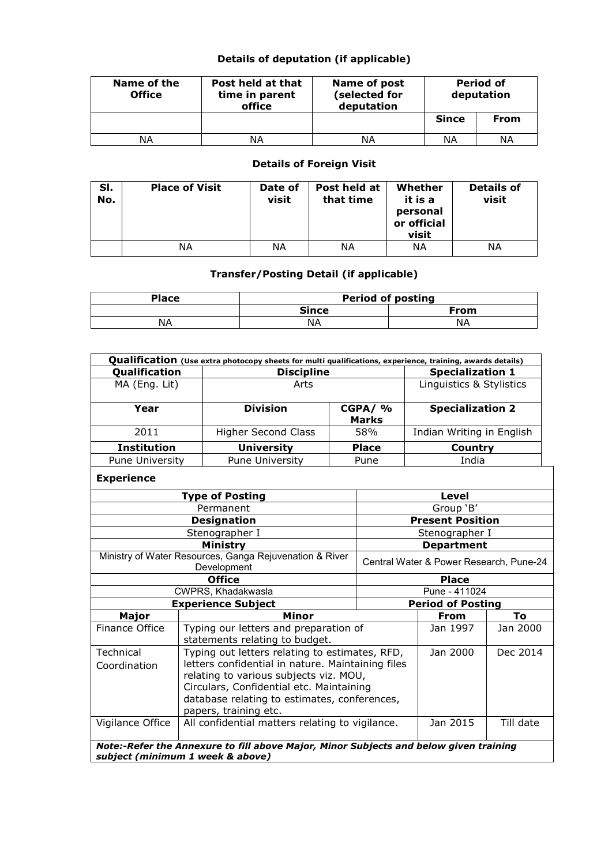## Details of deputation (if applicable)

| Name of the<br><b>Office</b> | Post held at that<br>time in parent<br>office | Name of post<br>(selected for<br>deputation | <b>Period of</b><br>deputation |      |  |
|------------------------------|-----------------------------------------------|---------------------------------------------|--------------------------------|------|--|
|                              |                                               |                                             | <b>Since</b>                   | From |  |
| ΝA                           | ΝA                                            | ΝA                                          | ΝA                             | ΝA   |  |

## Details of Foreign Visit

| SI.<br>No. | <b>Place of Visit</b> | Date of<br>visit | Post held at<br>that time | Whether<br>it is a<br>personal<br>or official<br>visit | <b>Details of</b><br>visit |
|------------|-----------------------|------------------|---------------------------|--------------------------------------------------------|----------------------------|
|            | ΝA                    | NΑ               | NΑ                        | NΑ                                                     | NΑ                         |

## Transfer/Posting Detail (if applicable)

| Place | <b>Period of posting</b> |      |  |  |  |  |  |
|-------|--------------------------|------|--|--|--|--|--|
|       | <b>Since</b>             | From |  |  |  |  |  |
| NΑ    | NА                       | ΝA   |  |  |  |  |  |

| Qualification (Use extra photocopy sheets for multi qualifications, experience, training, awards details)                 |                                                             |                                                                                                                                                                                                                                                                                |                         |              |                                         |                          |                           |  |  |  |
|---------------------------------------------------------------------------------------------------------------------------|-------------------------------------------------------------|--------------------------------------------------------------------------------------------------------------------------------------------------------------------------------------------------------------------------------------------------------------------------------|-------------------------|--------------|-----------------------------------------|--------------------------|---------------------------|--|--|--|
| Qualification                                                                                                             |                                                             | <b>Discipline</b>                                                                                                                                                                                                                                                              |                         |              |                                         | <b>Specialization 1</b>  |                           |  |  |  |
| MA (Eng. Lit)                                                                                                             |                                                             | Arts                                                                                                                                                                                                                                                                           |                         |              |                                         | Linguistics & Stylistics |                           |  |  |  |
| Year                                                                                                                      |                                                             | <b>Division</b>                                                                                                                                                                                                                                                                | CGPA/ %<br><b>Marks</b> |              |                                         | <b>Specialization 2</b>  |                           |  |  |  |
| 2011                                                                                                                      |                                                             | <b>Higher Second Class</b>                                                                                                                                                                                                                                                     |                         | 58%          |                                         |                          | Indian Writing in English |  |  |  |
| <b>Institution</b>                                                                                                        |                                                             | <b>University</b>                                                                                                                                                                                                                                                              |                         | <b>Place</b> |                                         | Country                  |                           |  |  |  |
| Pune University                                                                                                           |                                                             | Pune University                                                                                                                                                                                                                                                                |                         | Pune         |                                         | India                    |                           |  |  |  |
| <b>Experience</b>                                                                                                         |                                                             |                                                                                                                                                                                                                                                                                |                         |              |                                         |                          |                           |  |  |  |
|                                                                                                                           |                                                             | <b>Type of Posting</b>                                                                                                                                                                                                                                                         |                         |              |                                         | Level                    |                           |  |  |  |
|                                                                                                                           |                                                             | Permanent                                                                                                                                                                                                                                                                      |                         |              |                                         | Group 'B'                |                           |  |  |  |
|                                                                                                                           |                                                             | <b>Designation</b>                                                                                                                                                                                                                                                             |                         |              |                                         | <b>Present Position</b>  |                           |  |  |  |
|                                                                                                                           |                                                             | Stenographer I                                                                                                                                                                                                                                                                 |                         |              | Stenographer I                          |                          |                           |  |  |  |
|                                                                                                                           |                                                             | <b>Ministry</b>                                                                                                                                                                                                                                                                |                         |              | <b>Department</b>                       |                          |                           |  |  |  |
|                                                                                                                           |                                                             | Ministry of Water Resources, Ganga Rejuvenation & River<br>Development                                                                                                                                                                                                         |                         |              | Central Water & Power Research, Pune-24 |                          |                           |  |  |  |
|                                                                                                                           |                                                             | <b>Office</b>                                                                                                                                                                                                                                                                  |                         |              | <b>Place</b>                            |                          |                           |  |  |  |
|                                                                                                                           |                                                             | CWPRS, Khadakwasla                                                                                                                                                                                                                                                             |                         |              | Pune - 411024                           |                          |                           |  |  |  |
|                                                                                                                           |                                                             | <b>Experience Subject</b>                                                                                                                                                                                                                                                      |                         |              |                                         | <b>Period of Posting</b> |                           |  |  |  |
| Major                                                                                                                     |                                                             | Minor                                                                                                                                                                                                                                                                          |                         |              |                                         | <b>From</b>              | To                        |  |  |  |
| <b>Finance Office</b>                                                                                                     |                                                             | Typing our letters and preparation of<br>statements relating to budget.                                                                                                                                                                                                        |                         |              |                                         | Jan 1997                 | Jan 2000                  |  |  |  |
| Technical<br>Coordination                                                                                                 |                                                             | Typing out letters relating to estimates, RFD,<br>Jan 2000<br>letters confidential in nature. Maintaining files<br>relating to various subjects viz. MOU,<br>Circulars, Confidential etc. Maintaining<br>database relating to estimates, conferences,<br>papers, training etc. |                         |              |                                         |                          | Dec 2014                  |  |  |  |
| Vigilance Office                                                                                                          | Jan 2015<br>All confidential matters relating to vigilance. |                                                                                                                                                                                                                                                                                |                         |              |                                         |                          | Till date                 |  |  |  |
| Note:-Refer the Annexure to fill above Major, Minor Subjects and below given training<br>subject (minimum 1 week & above) |                                                             |                                                                                                                                                                                                                                                                                |                         |              |                                         |                          |                           |  |  |  |